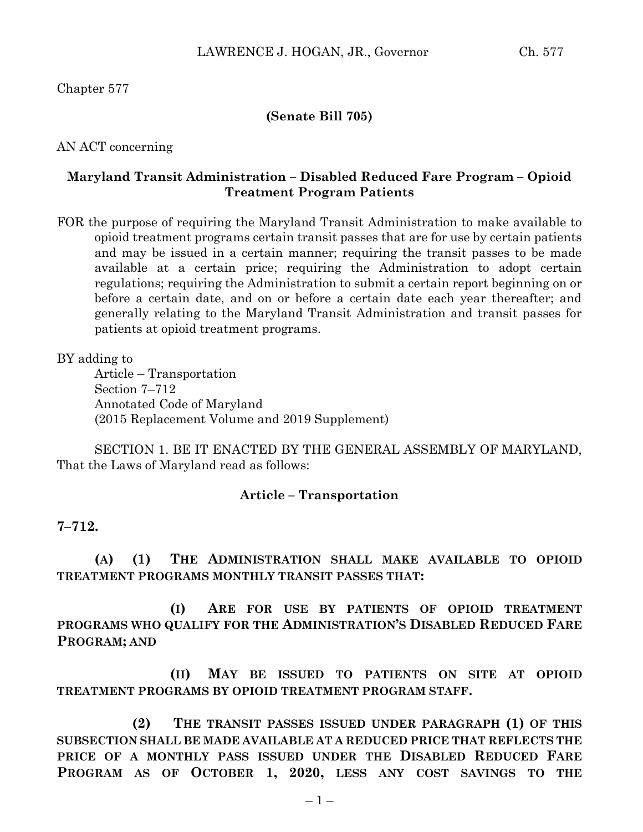## **(Senate Bill 705)**

AN ACT concerning

## **Maryland Transit Administration – Disabled Reduced Fare Program – Opioid Treatment Program Patients**

FOR the purpose of requiring the Maryland Transit Administration to make available to opioid treatment programs certain transit passes that are for use by certain patients and may be issued in a certain manner; requiring the transit passes to be made available at a certain price; requiring the Administration to adopt certain regulations; requiring the Administration to submit a certain report beginning on or before a certain date, and on or before a certain date each year thereafter; and generally relating to the Maryland Transit Administration and transit passes for patients at opioid treatment programs.

BY adding to

Article – Transportation Section 7–712 Annotated Code of Maryland (2015 Replacement Volume and 2019 Supplement)

SECTION 1. BE IT ENACTED BY THE GENERAL ASSEMBLY OF MARYLAND, That the Laws of Maryland read as follows:

## **Article – Transportation**

## **7–712.**

**(A) (1) THE ADMINISTRATION SHALL MAKE AVAILABLE TO OPIOID TREATMENT PROGRAMS MONTHLY TRANSIT PASSES THAT:**

**(I) ARE FOR USE BY PATIENTS OF OPIOID TREATMENT PROGRAMS WHO QUALIFY FOR THE ADMINISTRATION'S DISABLED REDUCED FARE PROGRAM; AND**

**(II) MAY BE ISSUED TO PATIENTS ON SITE AT OPIOID TREATMENT PROGRAMS BY OPIOID TREATMENT PROGRAM STAFF.**

**(2) THE TRANSIT PASSES ISSUED UNDER PARAGRAPH (1) OF THIS SUBSECTION SHALL BE MADE AVAILABLE AT A REDUCED PRICE THAT REFLECTS THE PRICE OF A MONTHLY PASS ISSUED UNDER THE DISABLED REDUCED FARE PROGRAM AS OF OCTOBER 1, 2020, LESS ANY COST SAVINGS TO THE**